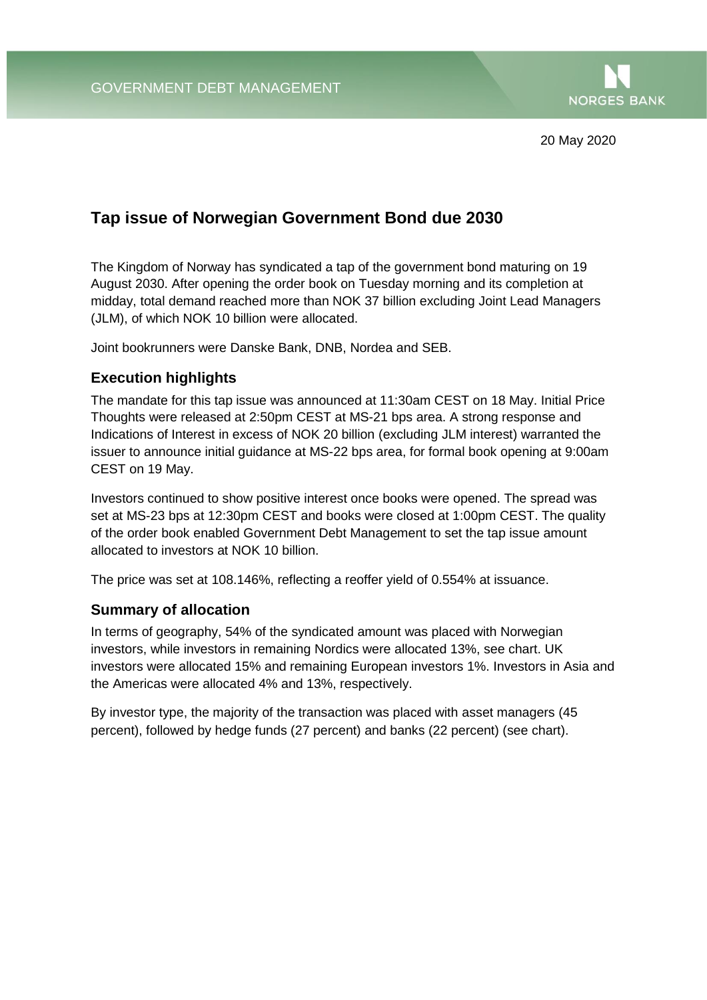

20 May 2020

## **Tap issue of Norwegian Government Bond due 2030**

The Kingdom of Norway has syndicated a tap of the government bond maturing on 19 August 2030. After opening the order book on Tuesday morning and its completion at midday, total demand reached more than NOK 37 billion excluding Joint Lead Managers (JLM), of which NOK 10 billion were allocated.

Joint bookrunners were Danske Bank, DNB, Nordea and SEB.

## **Execution highlights**

The mandate for this tap issue was announced at 11:30am CEST on 18 May. Initial Price Thoughts were released at 2:50pm CEST at MS-21 bps area. A strong response and Indications of Interest in excess of NOK 20 billion (excluding JLM interest) warranted the issuer to announce initial guidance at MS-22 bps area, for formal book opening at 9:00am CEST on 19 May.

Investors continued to show positive interest once books were opened. The spread was set at MS-23 bps at 12:30pm CEST and books were closed at 1:00pm CEST. The quality of the order book enabled Government Debt Management to set the tap issue amount allocated to investors at NOK 10 billion.

The price was set at 108.146%, reflecting a reoffer yield of 0.554% at issuance.

## **Summary of allocation**

In terms of geography, 54% of the syndicated amount was placed with Norwegian investors, while investors in remaining Nordics were allocated 13%, see chart. UK investors were allocated 15% and remaining European investors 1%. Investors in Asia and the Americas were allocated 4% and 13%, respectively.

By investor type, the majority of the transaction was placed with asset managers (45 percent), followed by hedge funds (27 percent) and banks (22 percent) (see chart).